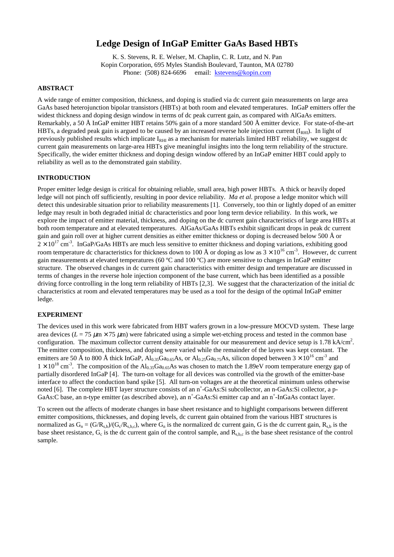# **Ledge Design of InGaP Emitter GaAs Based HBTs**

K. S. Stevens, R. E. Welser, M. Chaplin, C. R. Lutz, and N. Pan Kopin Corporation, 695 Myles Standish Boulevard, Taunton, MA 02780 Phone: (508) 824-6696 email: [kstevens@kopin.com](mailto:kstevens@kopin.com)

#### **ABSTRACT**

A wide range of emitter composition, thickness, and doping is studied via dc current gain measurements on large area GaAs based heterojunction bipolar transistors (HBTs) at both room and elevated temperatures. InGaP emitters offer the widest thickness and doping design window in terms of dc peak current gain, as compared with AlGaAs emitters. Remarkably, a 50 Å InGaP emitter HBT retains 50% gain of a more standard 500 Å emitter device. For state-of-the-art HBTs, a degraded peak gain is argued to be caused by an increased reverse hole injection current  $(I_{\rm RH}$ ). In light of previously published results which implicate  $I_{\text{RHI}}$  as a mechanism for materials limited HBT reliability, we suggest dc current gain measurements on large-area HBTs give meaningful insights into the long term reliability of the structure. Specifically, the wider emitter thickness and doping design window offered by an InGaP emitter HBT could apply to reliability as well as to the demonstrated gain stability.

### **INTRODUCTION**

Proper emitter ledge design is critical for obtaining reliable, small area, high power HBTs. A thick or heavily doped ledge will not pinch off sufficiently, resulting in poor device reliability. *Ma et al*. propose a ledge monitor which will detect this undesirable situation prior to reliability measurements [1]. Conversely, too thin or lightly doped of an emitter ledge may result in both degraded initial dc characteristics and poor long term device reliability. In this work, we explore the impact of emitter material, thickness, and doping on the dc current gain characteristics of large area HBTs at both room temperature and at elevated temperatures. AlGaAs/GaAs HBTs exhibit significant drops in peak dc current gain and gain roll over at higher current densities as either emitter thickness or doping is decreased below 500 Å or  $2 \times 10^{17}$  cm<sup>-3</sup>. InGaP/GaAs HBTs are much less sensitive to emitter thickness and doping variations, exhibiting good room temperature dc characteristics for thickness down to 100 Å or doping as low as  $3 \times 10^{16}$  cm<sup>-3</sup>. However, dc current gain measurements at elevated temperatures (60 ºC and 100 ºC) are more sensitive to changes in InGaP emitter structure. The observed changes in dc current gain characteristics with emitter design and temperature are discussed in terms of changes in the reverse hole injection component of the base current, which has been identified as a possible driving force controlling in the long term reliability of HBTs [2,3]. We suggest that the characterization of the initial dc characteristics at room and elevated temperatures may be used as a tool for the design of the optimal InGaP emitter ledge.

#### **EXPERIMENT**

The devices used in this work were fabricated from HBT wafers grown in a low-pressure MOCVD system. These large area devices ( $L = 75 \mu m \times 75 \mu m$ ) were fabricated using a simple wet-etching process and tested in the common base configuration. The maximum collector current density attainable for our measurement and device setup is  $1.78 \text{ kA/cm}^2$ . The emitter composition, thickness, and doping were varied while the remainder of the layers was kept constant. The emitters are 50 Å to 800 Å thick InGaP,  $Al_{0.35}Ga_{0.65}As$ , or  $Al_{0.25}Ga_{0.75}As$ , silicon doped between  $3 \times 10^{16}$  cm<sup>-3</sup> and  $1 \times 10^{18}$  cm<sup>-3</sup>. The composition of the Al<sub>0.35</sub>Ga<sub>0.65</sub>As was chosen to match the 1.89eV room temperature energy gap of partially disordered InGaP [4]. The turn-on voltage for all devices was controlled via the growth of the emitter-base interface to affect the conduction band spike [5]. All turn-on voltages are at the theoretical minimum unless otherwise noted [6]. The complete HBT layer structure consists of an n<sup>+</sup>-GaAs:Si subcollector, an n-GaAs:Si collector, a p-GaAs:C base, an n-type emitter (as described above), an n<sup>+</sup>-GaAs:Si emitter cap and an n<sup>+</sup>-InGaAs contact layer.

To screen out the affects of moderate changes in base sheet resistance and to highlight comparisons between different emitter compositions, thicknesses, and doping levels, dc current gain obtained from the various HBT structures is normalized as  $G_n = (G/R_{sh})/(G_c/R_{shc})$ , where  $G_n$  is the normalized dc current gain, G is the dc current gain,  $R_{sh}$  is the base sheet resistance,  $G_c$  is the dc current gain of the control sample, and  $R_{s,b,c}$  is the base sheet resistance of the control sample.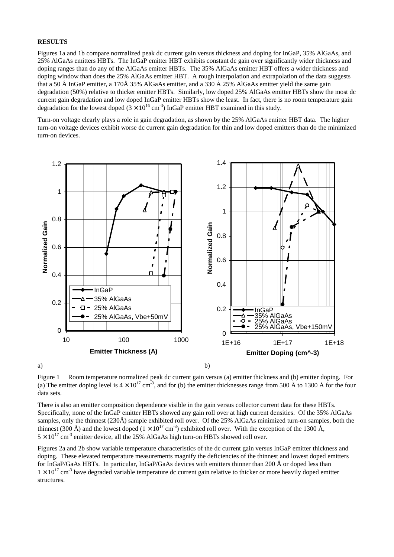#### **RESULTS**

Figures 1a and 1b compare normalized peak dc current gain versus thickness and doping for InGaP, 35% AlGaAs, and 25% AlGaAs emitters HBTs. The InGaP emitter HBT exhibits constant dc gain over significantly wider thickness and doping ranges than do any of the AlGaAs emitter HBTs. The 35% AlGaAs emitter HBT offers a wider thickness and doping window than does the 25% AlGaAs emitter HBT. A rough interpolation and extrapolation of the data suggests that a 50 Å InGaP emitter, a 170Å 35% AlGaAs emitter, and a 330 Å 25% AlGaAs emitter yield the same gain degradation (50%) relative to thicker emitter HBTs. Similarly, low doped 25% AlGaAs emitter HBTs show the most dc current gain degradation and low doped InGaP emitter HBTs show the least. In fact, there is no room temperature gain degradation for the lowest doped  $(3 \times 10^{16} \text{ cm}^3)$  InGaP emitter HBT examined in this study.

Turn-on voltage clearly plays a role in gain degradation, as shown by the 25% AlGaAs emitter HBT data. The higher turn-on voltage devices exhibit worse dc current gain degradation for thin and low doped emitters than do the minimized turn-on devices.



Figure 1 Room temperature normalized peak dc current gain versus (a) emitter thickness and (b) emitter doping. For (a) The emitter doping level is  $4 \times 10^{17}$  cm<sup>-3</sup>, and for (b) the emitter thicknesses range from 500 Å to 1300 Å for the four data sets.

There is also an emitter composition dependence visible in the gain versus collector current data for these HBTs. Specifically, none of the InGaP emitter HBTs showed any gain roll over at high current densities. Of the 35% AlGaAs samples, only the thinnest (230Å) sample exhibited roll over. Of the 25% AlGaAs minimized turn-on samples, both the thinnest (300 Å) and the lowest doped ( $1 \times 10^{17}$  cm<sup>-3</sup>) exhibited roll over. With the exception of the 1300 Å,  $5 \times 10^{17}$  cm<sup>-3</sup> emitter device, all the 25% AlGaAs high turn-on HBTs showed roll over.

Figures 2a and 2b show variable temperature characteristics of the dc current gain versus InGaP emitter thickness and doping. These elevated temperature measurements magnify the deficiencies of the thinnest and lowest doped emitters for InGaP/GaAs HBTs. In particular, InGaP/GaAs devices with emitters thinner than 200 Å or doped less than  $1 \times 10^{17}$  cm<sup>-3</sup> have degraded variable temperature dc current gain relative to thicker or more heavily doped emitter structures.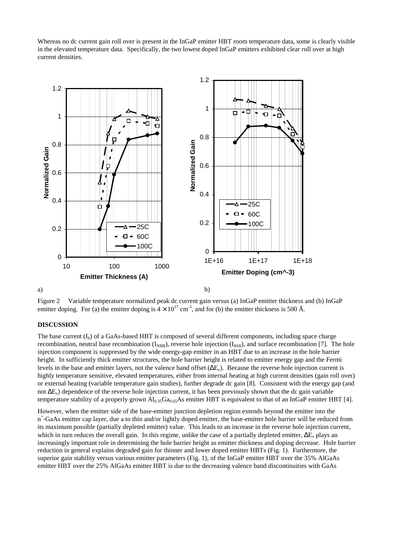Whereas no dc current gain roll over is present in the InGaP emitter HBT room temperature data, some is clearly visible in the elevated temperature data. Specifically, the two lowest doped InGaP emitters exhibited clear roll over at high current densities.



Figure 2 Variable temperature normalized peak dc current gain versus (a) InGaP emitter thickness and (b) InGaP emitter doping. For (a) the emitter doping is  $4 \times 10^{17}$  cm<sup>-3</sup>, and for (b) the emitter thickness is 500 Å.

# **DISCUSSION**

The base current  $(I_b)$  of a GaAs-based HBT is composed of several different components, including space charge recombination, neutral base recombination  $(I_{NBR})$ , reverse hole injection  $(I_{RHI})$ , and surface recombination [7]. The hole injection component is suppressed by the wide energy-gap emitter in an HBT due to an increase in the hole barrier height. In sufficiently thick emitter structures, the hole barrier height is related to emitter energy gap and the Fermi levels in the base and emitter layers, not the valence band offset ( $\Delta E_v$ ). Because the reverse hole injection current is highly temperature sensitive, elevated temperatures, either from internal heating at high current densities (gain roll over) or external heating (variable temperature gain studies), further degrade dc gain [8]. Consistent with the energy gap (and not ΔE<sub>v</sub>) dependence of the reverse hole injection current, it has been previously shown that the dc gain variable temperature stability of a properly grown  $Al_{0.35}Ga_{0.65}As$  emitter HBT is equivalent to that of an InGaP emitter HBT [4].

However, when the emitter side of the base-emitter junction depletion region extends beyond the emitter into the n+ -GaAs emitter cap layer, due a to thin and/or lightly doped emitter, the base-emitter hole barrier will be reduced from its maximum possible (partially depleted emitter) value. This leads to an increase in the reverse hole injection current, which in turn reduces the overall gain. In this regime, unlike the case of a partially depleted emitter,  $\Delta E_v$  plays an increasingly important role in determining the hole barrier height as emitter thickness and doping decrease. Hole barrier reduction in general explains degraded gain for thinner and lower doped emitter HBTs (Fig. 1). Furthermore, the superior gain stability versus various emitter parameters (Fig. 1), of the InGaP emitter HBT over the 35% AlGaAs emitter HBT over the 25% AlGaAs emitter HBT is due to the decreasing valence band discontinuities with GaAs